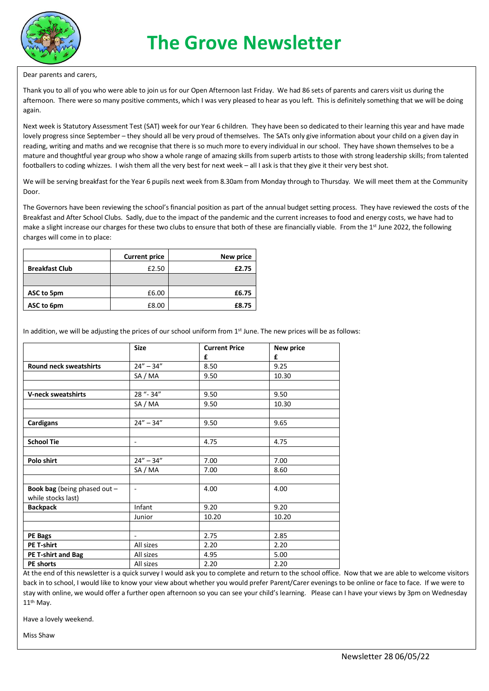

#### Dear parents and carers,

Thank you to all of you who were able to join us for our Open Afternoon last Friday. We had 86 sets of parents and carers visit us during the afternoon. There were so many positive comments, which I was very pleased to hear as you left. This is definitely something that we will be doing again.

Next week is Statutory Assessment Test (SAT) week for our Year 6 children. They have been so dedicated to their learning this year and have made lovely progress since September – they should all be very proud of themselves. The SATs only give information about your child on a given day in reading, writing and maths and we recognise that there is so much more to every individual in our school. They have shown themselves to be a mature and thoughtful year group who show a whole range of amazing skills from superb artists to those with strong leadership skills; from talented footballers to coding whizzes. I wish them all the very best for next week – all I ask is that they give it their very best shot.

We will be serving breakfast for the Year 6 pupils next week from 8.30am from Monday through to Thursday. We will meet them at the Community Door.

The Governors have been reviewing the school's financial position as part of the annual budget setting process. They have reviewed the costs of the Breakfast and After School Clubs. Sadly, due to the impact of the pandemic and the current increases to food and energy costs, we have had to make a slight increase our charges for these two clubs to ensure that both of these are financially viable. From the 1<sup>st</sup> June 2022, the following charges will come in to place:

|                       | <b>Current price</b> | New price |
|-----------------------|----------------------|-----------|
| <b>Breakfast Club</b> | £2.50                | £2.75     |
|                       |                      |           |
| ASC to 5pm            | £6.00                | £6.75     |
| ASC to 6pm            | £8.00                | £8.75     |

In addition, we will be adjusting the prices of our school uniform from  $1<sup>st</sup>$  June. The new prices will be as follows:

|                                                             | <b>Size</b>              | <b>Current Price</b> | New price |
|-------------------------------------------------------------|--------------------------|----------------------|-----------|
|                                                             |                          | £                    | £         |
| <b>Round neck sweatshirts</b>                               | $24'' - 34''$            | 8.50                 | 9.25      |
|                                                             | SA / MA                  | 9.50                 | 10.30     |
|                                                             |                          |                      |           |
| <b>V-neck sweatshirts</b>                                   | 28 "- 34"                | 9.50                 | 9.50      |
|                                                             | SA / MA                  | 9.50                 | 10.30     |
|                                                             |                          |                      |           |
| <b>Cardigans</b>                                            | $24'' - 34''$            | 9.50                 | 9.65      |
|                                                             |                          |                      |           |
| <b>School Tie</b>                                           | $\overline{\phantom{a}}$ | 4.75                 | 4.75      |
|                                                             |                          |                      |           |
| Polo shirt                                                  | $24'' - 34''$            | 7.00                 | 7.00      |
|                                                             | SA / MA                  | 7.00                 | 8.60      |
|                                                             |                          |                      |           |
| <b>Book bag</b> (being phased out $-$<br>while stocks last) | $\overline{\phantom{a}}$ | 4.00                 | 4.00      |
| <b>Backpack</b>                                             | Infant                   | 9.20                 | 9.20      |
|                                                             | Junior                   | 10.20                | 10.20     |
|                                                             |                          |                      |           |
| <b>PE Bags</b>                                              | $\overline{\phantom{a}}$ | 2.75                 | 2.85      |
| <b>PE T-shirt</b>                                           | All sizes                | 2.20                 | 2.20      |
| <b>PE T-shirt and Bag</b>                                   | All sizes                | 4.95                 | 5.00      |
| PE shorts                                                   | All sizes                | 2.20                 | 2.20      |

At the end of this newsletter is a quick survey I would ask you to complete and return to the school office. Now that we are able to welcome visitors back in to school, I would like to know your view about whether you would prefer Parent/Carer evenings to be online or face to face. If we were to stay with online, we would offer a further open afternoon so you can see your child's learning. Please can I have your views by 3pm on Wednesday 11th May.

Have a lovely weekend.

Miss Shaw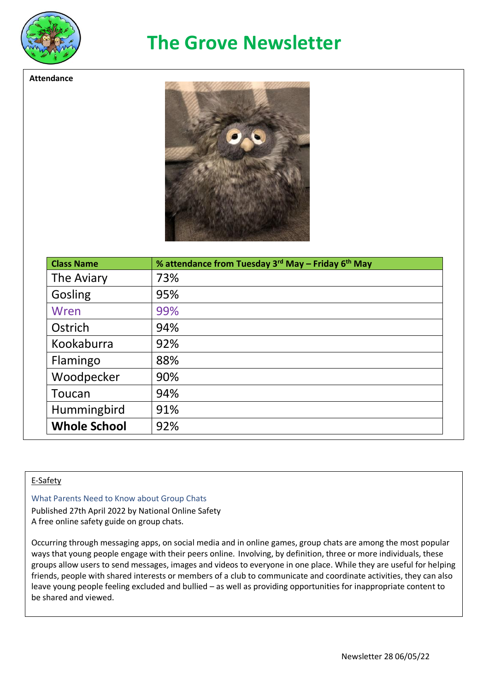

**Attendance**

# **The Grove Newsletter**



| <b>Class Name</b>   | % attendance from Tuesday 3 <sup>rd</sup> May – Friday 6 <sup>th</sup> May |
|---------------------|----------------------------------------------------------------------------|
| The Aviary          | 73%                                                                        |
| Gosling             | 95%                                                                        |
| Wren                | 99%                                                                        |
| Ostrich             | 94%                                                                        |
| Kookaburra          | 92%                                                                        |
| Flamingo            | 88%                                                                        |
| Woodpecker          | 90%                                                                        |
| Toucan              | 94%                                                                        |
| Hummingbird         | 91%                                                                        |
| <b>Whole School</b> | 92%                                                                        |

### E-Safety

What Parents Need to Know about Group Chats

Published 27th April 2022 by National Online Safety A free online safety guide on group chats.

Occurring through messaging apps, on social media and in online games, group chats are among the most popular ways that young people engage with their peers online. Involving, by definition, three or more individuals, these groups allow users to send messages, images and videos to everyone in one place. While they are useful for helping friends, people with shared interests or members of a club to communicate and coordinate activities, they can also leave young people feeling excluded and bullied – as well as providing opportunities for inappropriate content to be shared and viewed.

In the guideline guideline, you like  $y$  and  $y$  as bully indicated risks such as bully inappropriate  $y$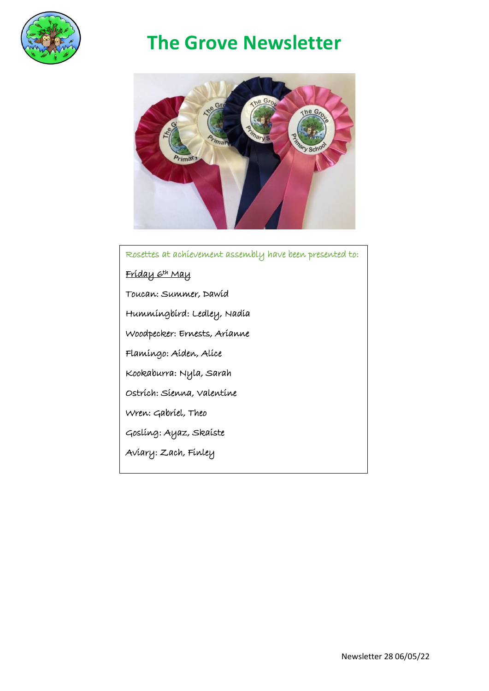

# **The Grove Newsletter**



 Rosettes at achievement assembly have been presented to: Friday 6th May Toucan: Summer, Dawid Hummingbird: Ledley, Nadia Woodpecker: Ernests, Arianne Flamingo: Aiden, Alice Kookaburra: Nyla, Sarah Ostrich: Sienna, Valentine Wren: Gabriel, Theo Gosling: Ayaz, Skaiste Aviary: Zach, Finley